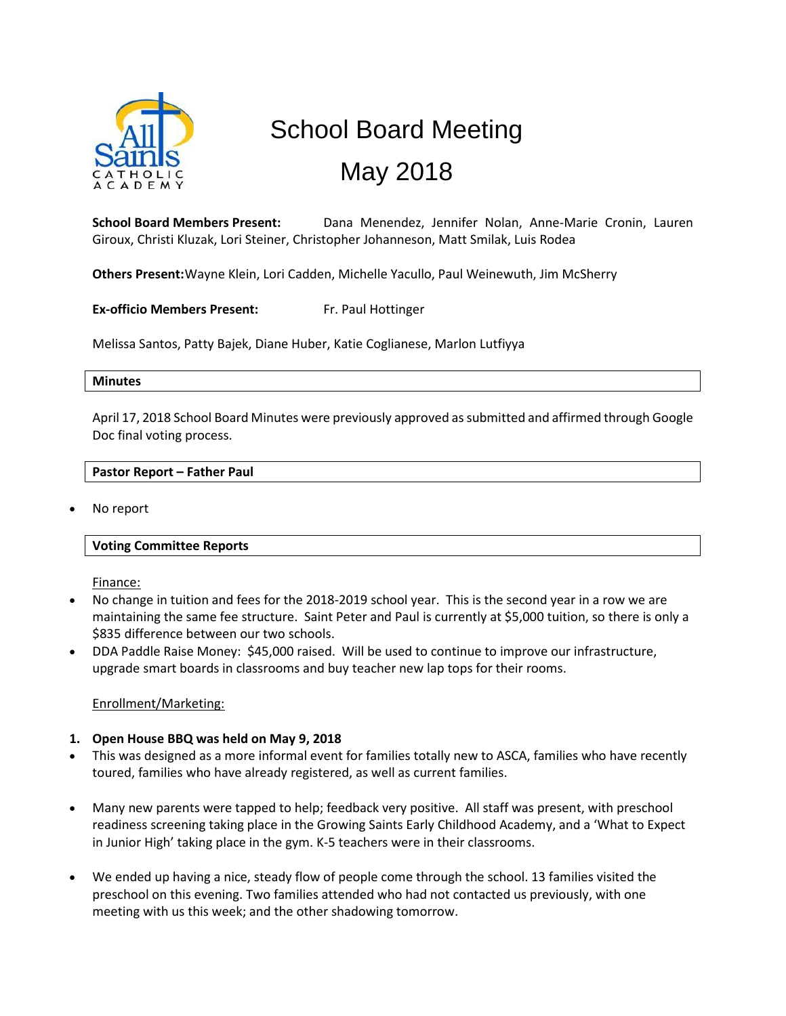

# School Board Meeting May 2018

**School Board Members Present:** Dana Menendez, Jennifer Nolan, Anne-Marie Cronin, Lauren Giroux, Christi Kluzak, Lori Steiner, Christopher Johanneson, Matt Smilak, Luis Rodea

**Others Present:**Wayne Klein, Lori Cadden, Michelle Yacullo, Paul Weinewuth, Jim McSherry

**Ex-officio Members Present:** Fr. Paul Hottinger

Melissa Santos, Patty Bajek, Diane Huber, Katie Coglianese, Marlon Lutfiyya

#### **Minutes**

April 17, 2018 School Board Minutes were previously approved as submitted and affirmed through Google Doc final voting process.

#### **Pastor Report – Father Paul**

No report

#### **Voting Committee Reports**

Finance:

- No change in tuition and fees for the 2018-2019 school year. This is the second year in a row we are maintaining the same fee structure. Saint Peter and Paul is currently at \$5,000 tuition, so there is only a \$835 difference between our two schools.
- DDA Paddle Raise Money: \$45,000 raised. Will be used to continue to improve our infrastructure, upgrade smart boards in classrooms and buy teacher new lap tops for their rooms.

#### Enrollment/Marketing:

#### **1. Open House BBQ was held on May 9, 2018**

- This was designed as a more informal event for families totally new to ASCA, families who have recently toured, families who have already registered, as well as current families.
- Many new parents were tapped to help; feedback very positive. All staff was present, with preschool readiness screening taking place in the Growing Saints Early Childhood Academy, and a 'What to Expect in Junior High' taking place in the gym. K-5 teachers were in their classrooms.
- We ended up having a nice, steady flow of people come through the school. 13 families visited the preschool on this evening. Two families attended who had not contacted us previously, with one meeting with us this week; and the other shadowing tomorrow.